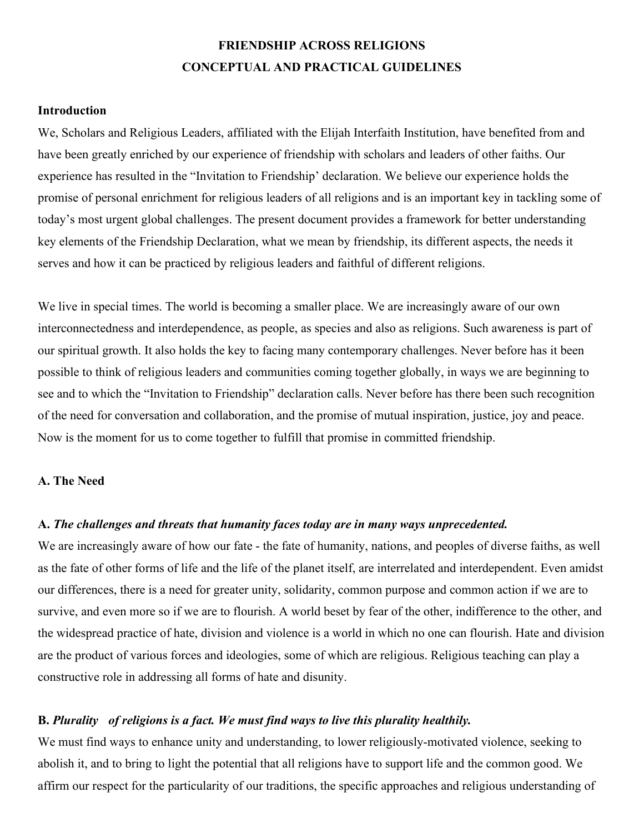# **FRIENDSHIP ACROSS RELIGIONS CONCEPTUAL AND PRACTICAL GUIDELINES**

#### **Introduction**

We, Scholars and Religious Leaders, affiliated with the Elijah Interfaith Institution, have benefited from and have been greatly enriched by our experience of friendship with scholars and leaders of other faiths. Our experience has resulted in the "Invitation to Friendship' declaration. We believe our experience holds the promise of personal enrichment for religious leaders of all religions and is an important key in tackling some of today's most urgent global challenges. The present document provides a framework for better understanding key elements of the Friendship Declaration, what we mean by friendship, its different aspects, the needs it serves and how it can be practiced by religious leaders and faithful of different religions.

We live in special times. The world is becoming a smaller place. We are increasingly aware of our own interconnectedness and interdependence, as people, as species and also as religions. Such awareness is part of our spiritual growth. It also holds the key to facing many contemporary challenges. Never before has it been possible to think of religious leaders and communities coming together globally, in ways we are beginning to see and to which the "Invitation to Friendship" declaration calls. Never before has there been such recognition of the need for conversation and collaboration, and the promise of mutual inspiration, justice, joy and peace. Now is the moment for us to come together to fulfill that promise in committed friendship.

### **A. The Need**

#### **A.** *The challenges and threats that humanity faces today are in many ways unprecedented.*

We are increasingly aware of how our fate - the fate of humanity, nations, and peoples of diverse faiths, as well as the fate of other forms of life and the life of the planet itself, are interrelated and interdependent. Even amidst our differences, there is a need for greater unity, solidarity, common purpose and common action if we are to survive, and even more so if we are to flourish. A world beset by fear of the other, indifference to the other, and the widespread practice of hate, division and violence is a world in which no one can flourish. Hate and division are the product of various forces and ideologies, some of which are religious. Religious teaching can play a constructive role in addressing all forms of hate and disunity.

#### **B.** *Plurality of religions is a fact. We must find ways to live this plurality healthily.*

We must find ways to enhance unity and understanding, to lower religiously-motivated violence, seeking to abolish it, and to bring to light the potential that all religions have to support life and the common good. We affirm our respect for the particularity of our traditions, the specific approaches and religious understanding of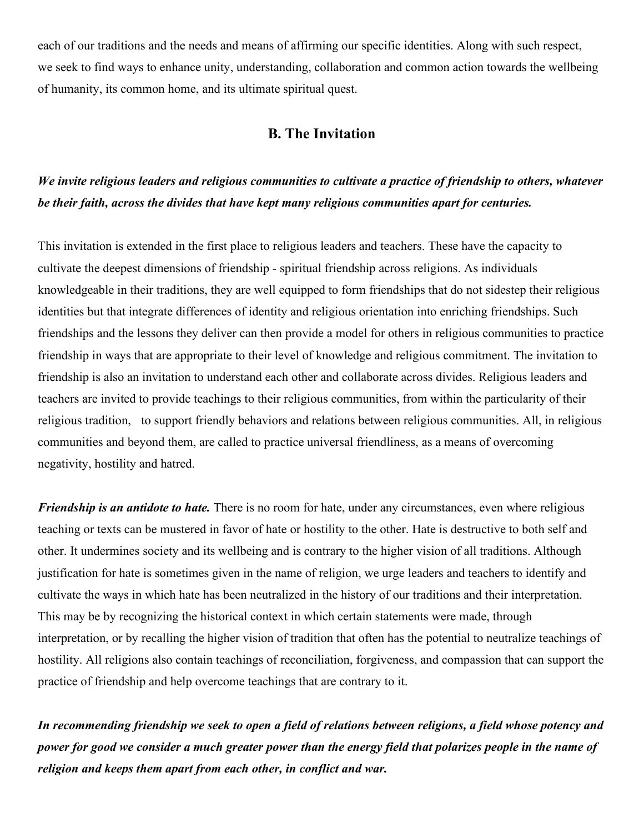each of our traditions and the needs and means of affirming our specific identities. Along with such respect, we seek to find ways to enhance unity, understanding, collaboration and common action towards the wellbeing of humanity, its common home, and its ultimate spiritual quest.

### **B. The Invitation**

# *We invite religious leaders and religious communities to cultivate a practice of friendship to others, whatever be their faith, across the divides that have kept many religious communities apart for centuries.*

This invitation is extended in the first place to religious leaders and teachers. These have the capacity to cultivate the deepest dimensions of friendship - spiritual friendship across religions. As individuals knowledgeable in their traditions, they are well equipped to form friendships that do not sidestep their religious identities but that integrate differences of identity and religious orientation into enriching friendships. Such friendships and the lessons they deliver can then provide a model for others in religious communities to practice friendship in ways that are appropriate to their level of knowledge and religious commitment. The invitation to friendship is also an invitation to understand each other and collaborate across divides. Religious leaders and teachers are invited to provide teachings to their religious communities, from within the particularity of their religious tradition, to support friendly behaviors and relations between religious communities. All, in religious communities and beyond them, are called to practice universal friendliness, as a means of overcoming negativity, hostility and hatred.

*Friendship is an antidote to hate.* There is no room for hate, under any circumstances, even where religious teaching or texts can be mustered in favor of hate or hostility to the other. Hate is destructive to both self and other. It undermines society and its wellbeing and is contrary to the higher vision of all traditions. Although justification for hate is sometimes given in the name of religion, we urge leaders and teachers to identify and cultivate the ways in which hate has been neutralized in the history of our traditions and their interpretation. This may be by recognizing the historical context in which certain statements were made, through interpretation, or by recalling the higher vision of tradition that often has the potential to neutralize teachings of hostility. All religions also contain teachings of reconciliation, forgiveness, and compassion that can support the practice of friendship and help overcome teachings that are contrary to it.

*In recommending friendship we seek to open a field of relations between religions, a field whose potency and power for good we consider a much greater power than the energy field that polarizes people in the name of religion and keeps them apart from each other, in conflict and war.*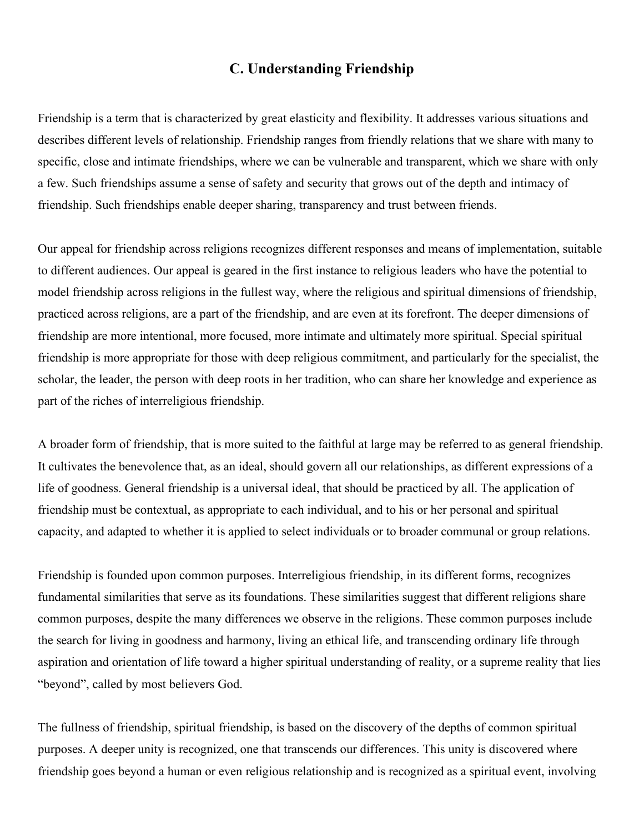## **C. Understanding Friendship**

Friendship is a term that is characterized by great elasticity and flexibility. It addresses various situations and describes different levels of relationship. Friendship ranges from friendly relations that we share with many to specific, close and intimate friendships, where we can be vulnerable and transparent, which we share with only a few. Such friendships assume a sense of safety and security that grows out of the depth and intimacy of friendship. Such friendships enable deeper sharing, transparency and trust between friends.

Our appeal for friendship across religions recognizes different responses and means of implementation, suitable to different audiences. Our appeal is geared in the first instance to religious leaders who have the potential to model friendship across religions in the fullest way, where the religious and spiritual dimensions of friendship, practiced across religions, are a part of the friendship, and are even at its forefront. The deeper dimensions of friendship are more intentional, more focused, more intimate and ultimately more spiritual. Special spiritual friendship is more appropriate for those with deep religious commitment, and particularly for the specialist, the scholar, the leader, the person with deep roots in her tradition, who can share her knowledge and experience as part of the riches of interreligious friendship.

A broader form of friendship, that is more suited to the faithful at large may be referred to as general friendship. It cultivates the benevolence that, as an ideal, should govern all our relationships, as different expressions of a life of goodness. General friendship is a universal ideal, that should be practiced by all. The application of friendship must be contextual, as appropriate to each individual, and to his or her personal and spiritual capacity, and adapted to whether it is applied to select individuals or to broader communal or group relations.

Friendship is founded upon common purposes. Interreligious friendship, in its different forms, recognizes fundamental similarities that serve as its foundations. These similarities suggest that different religions share common purposes, despite the many differences we observe in the religions. These common purposes include the search for living in goodness and harmony, living an ethical life, and transcending ordinary life through aspiration and orientation of life toward a higher spiritual understanding of reality, or a supreme reality that lies "beyond", called by most believers God.

The fullness of friendship, spiritual friendship, is based on the discovery of the depths of common spiritual purposes. A deeper unity is recognized, one that transcends our differences. This unity is discovered where friendship goes beyond a human or even religious relationship and is recognized as a spiritual event, involving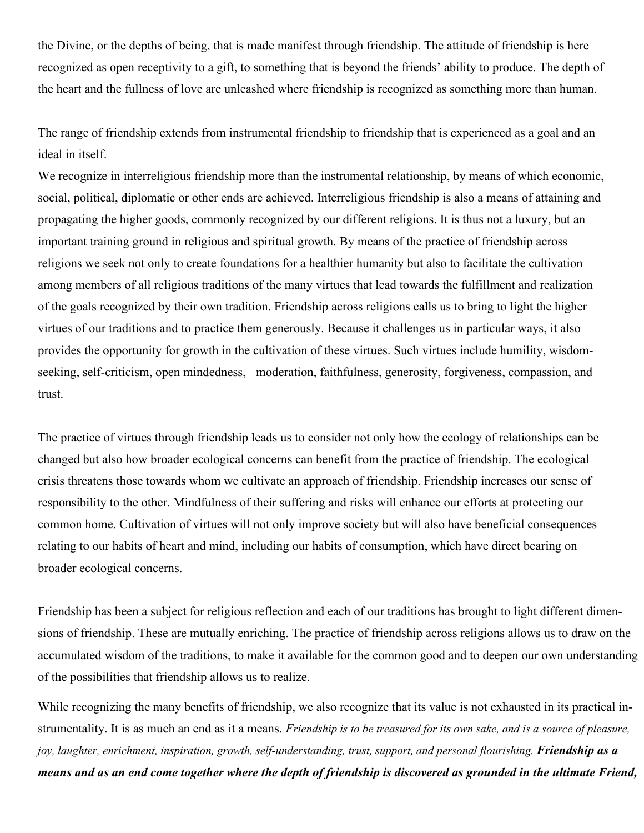the Divine, or the depths of being, that is made manifest through friendship. The attitude of friendship is here recognized as open receptivity to a gift, to something that is beyond the friends' ability to produce. The depth of the heart and the fullness of love are unleashed where friendship is recognized as something more than human.

The range of friendship extends from instrumental friendship to friendship that is experienced as a goal and an ideal in itself.

We recognize in interreligious friendship more than the instrumental relationship, by means of which economic, social, political, diplomatic or other ends are achieved. Interreligious friendship is also a means of attaining and propagating the higher goods, commonly recognized by our different religions. It is thus not a luxury, but an important training ground in religious and spiritual growth. By means of the practice of friendship across religions we seek not only to create foundations for a healthier humanity but also to facilitate the cultivation among members of all religious traditions of the many virtues that lead towards the fulfillment and realization of the goals recognized by their own tradition. Friendship across religions calls us to bring to light the higher virtues of our traditions and to practice them generously. Because it challenges us in particular ways, it also provides the opportunity for growth in the cultivation of these virtues. Such virtues include humility, wisdomseeking, self-criticism, open mindedness, moderation, faithfulness, generosity, forgiveness, compassion, and trust.

The practice of virtues through friendship leads us to consider not only how the ecology of relationships can be changed but also how broader ecological concerns can benefit from the practice of friendship. The ecological crisis threatens those towards whom we cultivate an approach of friendship. Friendship increases our sense of responsibility to the other. Mindfulness of their suffering and risks will enhance our efforts at protecting our common home. Cultivation of virtues will not only improve society but will also have beneficial consequences relating to our habits of heart and mind, including our habits of consumption, which have direct bearing on broader ecological concerns.

Friendship has been a subject for religious reflection and each of our traditions has brought to light different dimensions of friendship. These are mutually enriching. The practice of friendship across religions allows us to draw on the accumulated wisdom of the traditions, to make it available for the common good and to deepen our own understanding of the possibilities that friendship allows us to realize.

While recognizing the many benefits of friendship, we also recognize that its value is not exhausted in its practical instrumentality. It is as much an end as it a means. *Friendship is to be treasured for its own sake, and is a source of pleasure, joy, laughter, enrichment, inspiration, growth, self-understanding, trust, support, and personal flourishing. Friendship as a means and as an end come together where the depth of friendship is discovered as grounded in the ultimate Friend,*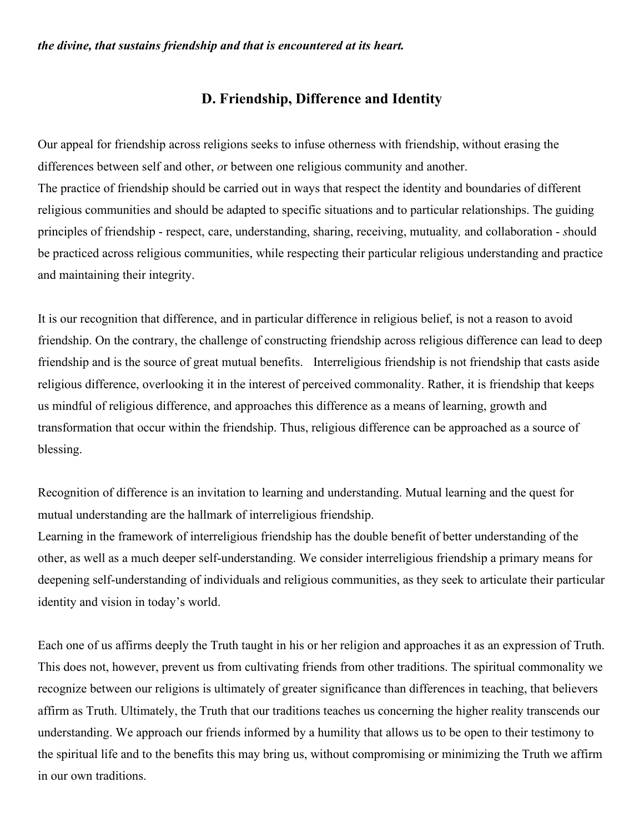## **D. Friendship, Difference and Identity**

Our appeal for friendship across religions seeks to infuse otherness with friendship, without erasing the differences between self and other, *o*r between one religious community and another. The practice of friendship should be carried out in ways that respect the identity and boundaries of different religious communities and should be adapted to specific situations and to particular relationships. The guiding principles of friendship - respect, care, understanding, sharing, receiving, mutuality*,* and collaboration - *s*hould be practiced across religious communities, while respecting their particular religious understanding and practice and maintaining their integrity.

It is our recognition that difference, and in particular difference in religious belief, is not a reason to avoid friendship. On the contrary, the challenge of constructing friendship across religious difference can lead to deep friendship and is the source of great mutual benefits. Interreligious friendship is not friendship that casts aside religious difference, overlooking it in the interest of perceived commonality. Rather, it is friendship that keeps us mindful of religious difference, and approaches this difference as a means of learning, growth and transformation that occur within the friendship. Thus, religious difference can be approached as a source of blessing.

Recognition of difference is an invitation to learning and understanding. Mutual learning and the quest for mutual understanding are the hallmark of interreligious friendship.

Learning in the framework of interreligious friendship has the double benefit of better understanding of the other, as well as a much deeper self-understanding. We consider interreligious friendship a primary means for deepening self-understanding of individuals and religious communities, as they seek to articulate their particular identity and vision in today's world.

Each one of us affirms deeply the Truth taught in his or her religion and approaches it as an expression of Truth. This does not, however, prevent us from cultivating friends from other traditions. The spiritual commonality we recognize between our religions is ultimately of greater significance than differences in teaching, that believers affirm as Truth. Ultimately, the Truth that our traditions teaches us concerning the higher reality transcends our understanding. We approach our friends informed by a humility that allows us to be open to their testimony to the spiritual life and to the benefits this may bring us, without compromising or minimizing the Truth we affirm in our own traditions.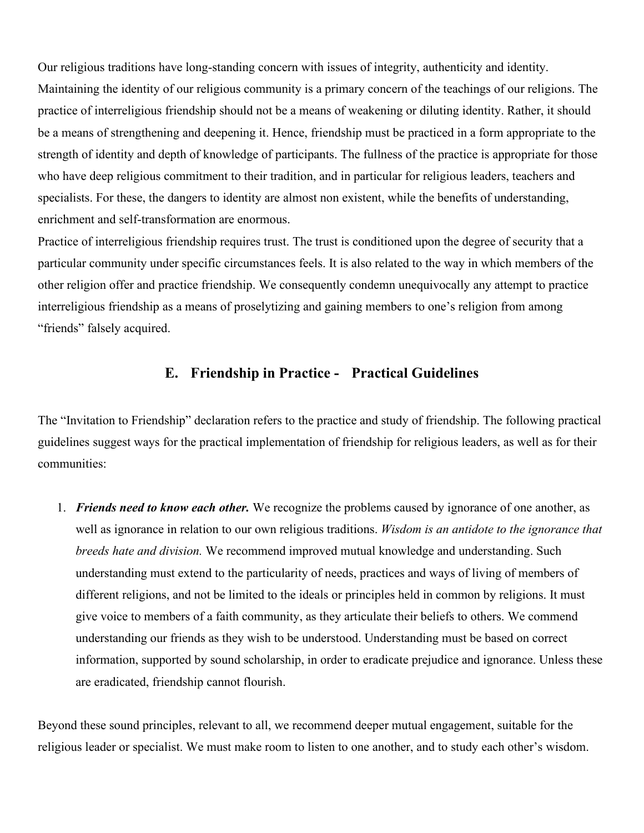Our religious traditions have long-standing concern with issues of integrity, authenticity and identity. Maintaining the identity of our religious community is a primary concern of the teachings of our religions. The practice of interreligious friendship should not be a means of weakening or diluting identity. Rather, it should be a means of strengthening and deepening it. Hence, friendship must be practiced in a form appropriate to the strength of identity and depth of knowledge of participants. The fullness of the practice is appropriate for those who have deep religious commitment to their tradition, and in particular for religious leaders, teachers and specialists. For these, the dangers to identity are almost non existent, while the benefits of understanding, enrichment and self-transformation are enormous.

Practice of interreligious friendship requires trust. The trust is conditioned upon the degree of security that a particular community under specific circumstances feels. It is also related to the way in which members of the other religion offer and practice friendship. We consequently condemn unequivocally any attempt to practice interreligious friendship as a means of proselytizing and gaining members to one's religion from among "friends" falsely acquired.

## **E. Friendship in Practice - Practical Guidelines**

The "Invitation to Friendship" declaration refers to the practice and study of friendship. The following practical guidelines suggest ways for the practical implementation of friendship for religious leaders, as well as for their communities:

1. *Friends need to know each other.* We recognize the problems caused by ignorance of one another, as well as ignorance in relation to our own religious traditions. *Wisdom is an antidote to the ignorance that breeds hate and division.* We recommend improved mutual knowledge and understanding. Such understanding must extend to the particularity of needs, practices and ways of living of members of different religions, and not be limited to the ideals or principles held in common by religions. It must give voice to members of a faith community, as they articulate their beliefs to others. We commend understanding our friends as they wish to be understood. Understanding must be based on correct information, supported by sound scholarship, in order to eradicate prejudice and ignorance. Unless these are eradicated, friendship cannot flourish.

Beyond these sound principles, relevant to all, we recommend deeper mutual engagement, suitable for the religious leader or specialist. We must make room to listen to one another, and to study each other's wisdom.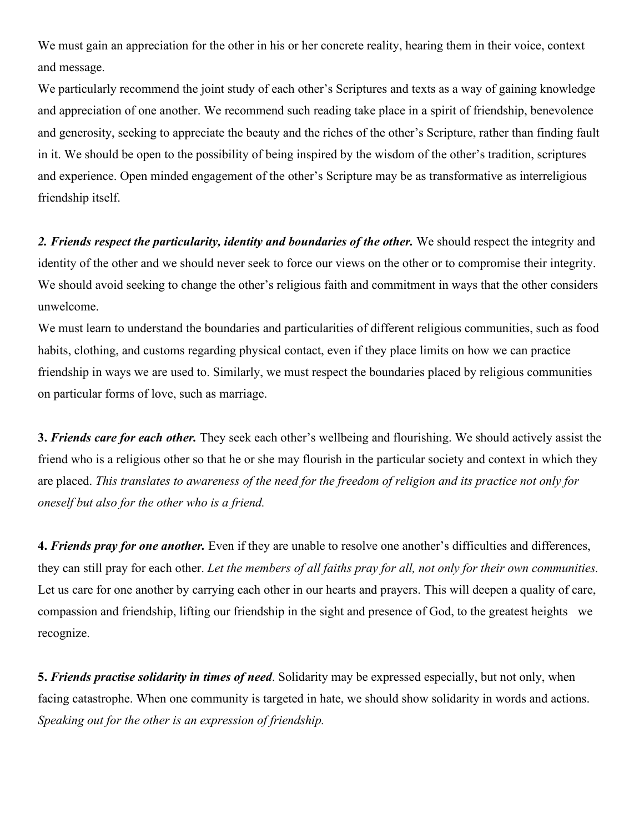We must gain an appreciation for the other in his or her concrete reality, hearing them in their voice, context and message.

We particularly recommend the joint study of each other's Scriptures and texts as a way of gaining knowledge and appreciation of one another. We recommend such reading take place in a spirit of friendship, benevolence and generosity, seeking to appreciate the beauty and the riches of the other's Scripture, rather than finding fault in it. We should be open to the possibility of being inspired by the wisdom of the other's tradition, scriptures and experience. Open minded engagement of the other's Scripture may be as transformative as interreligious friendship itself.

*2. Friends respect the particularity, identity and boundaries of the other.* We should respect the integrity and identity of the other and we should never seek to force our views on the other or to compromise their integrity. We should avoid seeking to change the other's religious faith and commitment in ways that the other considers unwelcome.

We must learn to understand the boundaries and particularities of different religious communities, such as food habits, clothing, and customs regarding physical contact, even if they place limits on how we can practice friendship in ways we are used to. Similarly, we must respect the boundaries placed by religious communities on particular forms of love, such as marriage.

**3.** *Friends care for each other.* They seek each other's wellbeing and flourishing. We should actively assist the friend who is a religious other so that he or she may flourish in the particular society and context in which they are placed. *This translates to awareness of the need for the freedom of religion and its practice not only for oneself but also for the other who is a friend.* 

**4.** *Friends pray for one another.* Even if they are unable to resolve one another's difficulties and differences, they can still pray for each other. *Let the members of all faiths pray for all, not only for their own communities.* Let us care for one another by carrying each other in our hearts and prayers. This will deepen a quality of care, compassion and friendship, lifting our friendship in the sight and presence of God, to the greatest heights we recognize.

**5.** *Friends practise solidarity in times of need*. Solidarity may be expressed especially, but not only, when facing catastrophe. When one community is targeted in hate, we should show solidarity in words and actions. *Speaking out for the other is an expression of friendship.*